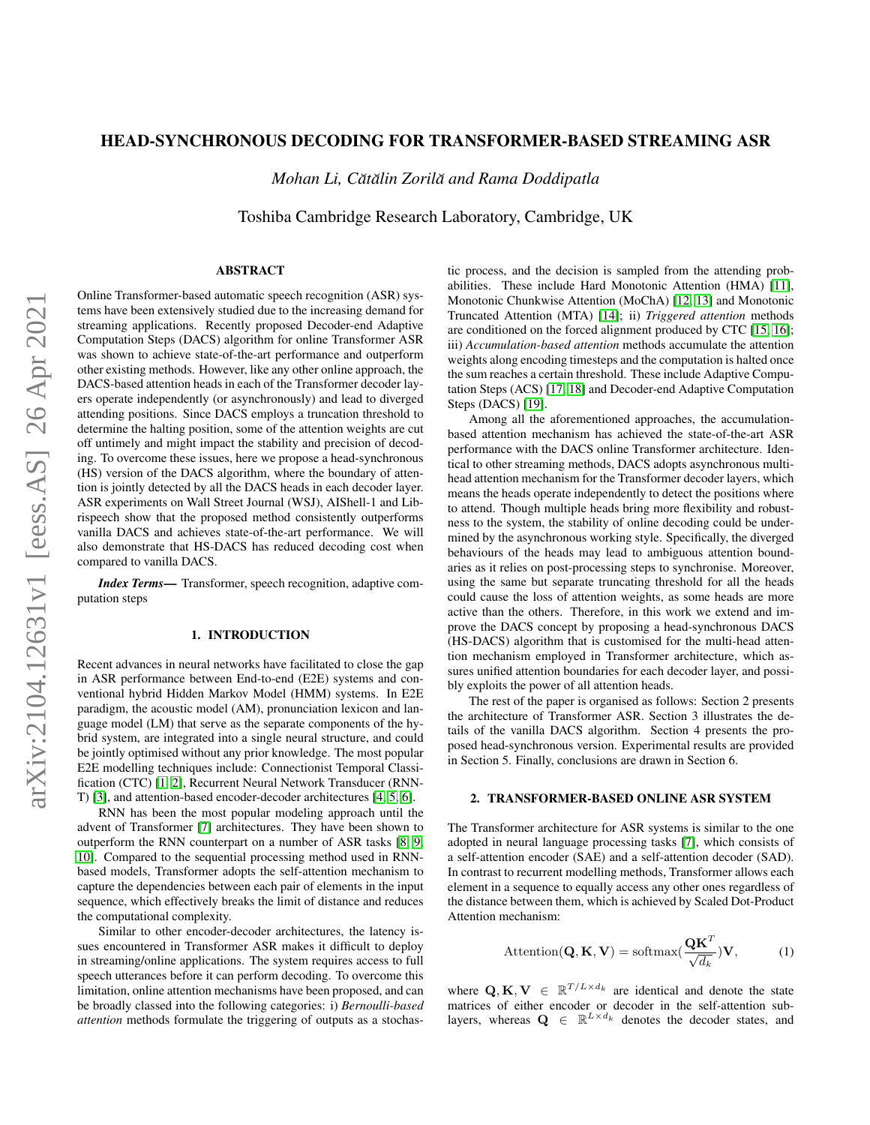# HEAD-SYNCHRONOUS DECODING FOR TRANSFORMER-BASED STREAMING ASR

*Mohan Li, Cătălin Zorilă and Rama Doddipatla* 

Toshiba Cambridge Research Laboratory, Cambridge, UK

# ABSTRACT

Online Transformer-based automatic speech recognition (ASR) systems have been extensively studied due to the increasing demand for streaming applications. Recently proposed Decoder-end Adaptive Computation Steps (DACS) algorithm for online Transformer ASR was shown to achieve state-of-the-art performance and outperform other existing methods. However, like any other online approach, the DACS-based attention heads in each of the Transformer decoder layers operate independently (or asynchronously) and lead to diverged attending positions. Since DACS employs a truncation threshold to determine the halting position, some of the attention weights are cut off untimely and might impact the stability and precision of decoding. To overcome these issues, here we propose a head-synchronous (HS) version of the DACS algorithm, where the boundary of attention is jointly detected by all the DACS heads in each decoder layer. ASR experiments on Wall Street Journal (WSJ), AIShell-1 and Librispeech show that the proposed method consistently outperforms vanilla DACS and achieves state-of-the-art performance. We will also demonstrate that HS-DACS has reduced decoding cost when compared to vanilla DACS.

*Index Terms*— Transformer, speech recognition, adaptive computation steps

# 1. INTRODUCTION

Recent advances in neural networks have facilitated to close the gap in ASR performance between End-to-end (E2E) systems and conventional hybrid Hidden Markov Model (HMM) systems. In E2E paradigm, the acoustic model (AM), pronunciation lexicon and language model (LM) that serve as the separate components of the hybrid system, are integrated into a single neural structure, and could be jointly optimised without any prior knowledge. The most popular E2E modelling techniques include: Connectionist Temporal Classification (CTC) [\[1,](#page-4-0) [2\]](#page-4-1), Recurrent Neural Network Transducer (RNN-T) [\[3\]](#page-4-2), and attention-based encoder-decoder architectures [\[4,](#page-4-3) [5,](#page-4-4) [6\]](#page-4-5).

RNN has been the most popular modeling approach until the advent of Transformer [\[7\]](#page-4-6) architectures. They have been shown to outperform the RNN counterpart on a number of ASR tasks [\[8,](#page-4-7) [9,](#page-4-8) [10\]](#page-4-9). Compared to the sequential processing method used in RNNbased models, Transformer adopts the self-attention mechanism to capture the dependencies between each pair of elements in the input sequence, which effectively breaks the limit of distance and reduces the computational complexity.

Similar to other encoder-decoder architectures, the latency issues encountered in Transformer ASR makes it difficult to deploy in streaming/online applications. The system requires access to full speech utterances before it can perform decoding. To overcome this limitation, online attention mechanisms have been proposed, and can be broadly classed into the following categories: i) *Bernoulli-based attention* methods formulate the triggering of outputs as a stochastic process, and the decision is sampled from the attending probabilities. These include Hard Monotonic Attention (HMA) [\[11\]](#page-4-10), Monotonic Chunkwise Attention (MoChA) [\[12,](#page-4-11) [13\]](#page-4-12) and Monotonic Truncated Attention (MTA) [\[14\]](#page-4-13); ii) *Triggered attention* methods are conditioned on the forced alignment produced by CTC [\[15,](#page-4-14) [16\]](#page-4-15); iii) *Accumulation-based attention* methods accumulate the attention weights along encoding timesteps and the computation is halted once the sum reaches a certain threshold. These include Adaptive Computation Steps (ACS) [\[17,](#page-4-16) [18\]](#page-4-17) and Decoder-end Adaptive Computation Steps (DACS) [\[19\]](#page-4-18).

Among all the aforementioned approaches, the accumulationbased attention mechanism has achieved the state-of-the-art ASR performance with the DACS online Transformer architecture. Identical to other streaming methods, DACS adopts asynchronous multihead attention mechanism for the Transformer decoder layers, which means the heads operate independently to detect the positions where to attend. Though multiple heads bring more flexibility and robustness to the system, the stability of online decoding could be undermined by the asynchronous working style. Specifically, the diverged behaviours of the heads may lead to ambiguous attention boundaries as it relies on post-processing steps to synchronise. Moreover, using the same but separate truncating threshold for all the heads could cause the loss of attention weights, as some heads are more active than the others. Therefore, in this work we extend and improve the DACS concept by proposing a head-synchronous DACS (HS-DACS) algorithm that is customised for the multi-head attention mechanism employed in Transformer architecture, which assures unified attention boundaries for each decoder layer, and possibly exploits the power of all attention heads.

The rest of the paper is organised as follows: Section 2 presents the architecture of Transformer ASR. Section 3 illustrates the details of the vanilla DACS algorithm. Section 4 presents the proposed head-synchronous version. Experimental results are provided in Section 5. Finally, conclusions are drawn in Section 6.

# 2. TRANSFORMER-BASED ONLINE ASR SYSTEM

The Transformer architecture for ASR systems is similar to the one adopted in neural language processing tasks [\[7\]](#page-4-6), which consists of a self-attention encoder (SAE) and a self-attention decoder (SAD). In contrast to recurrent modelling methods, Transformer allows each element in a sequence to equally access any other ones regardless of the distance between them, which is achieved by Scaled Dot-Product Attention mechanism:

<span id="page-0-0"></span>
$$
Attention(\mathbf{Q}, \mathbf{K}, \mathbf{V}) = softmax(\frac{\mathbf{QK}^T}{\sqrt{d_k}})\mathbf{V},
$$
 (1)

where  $Q, K, V \in \mathbb{R}^{T/L \times d_k}$  are identical and denote the state matrices of either encoder or decoder in the self-attention sublayers, whereas  $\mathbf{Q} \in \mathbb{R}^{L \times d_k}$  denotes the decoder states, and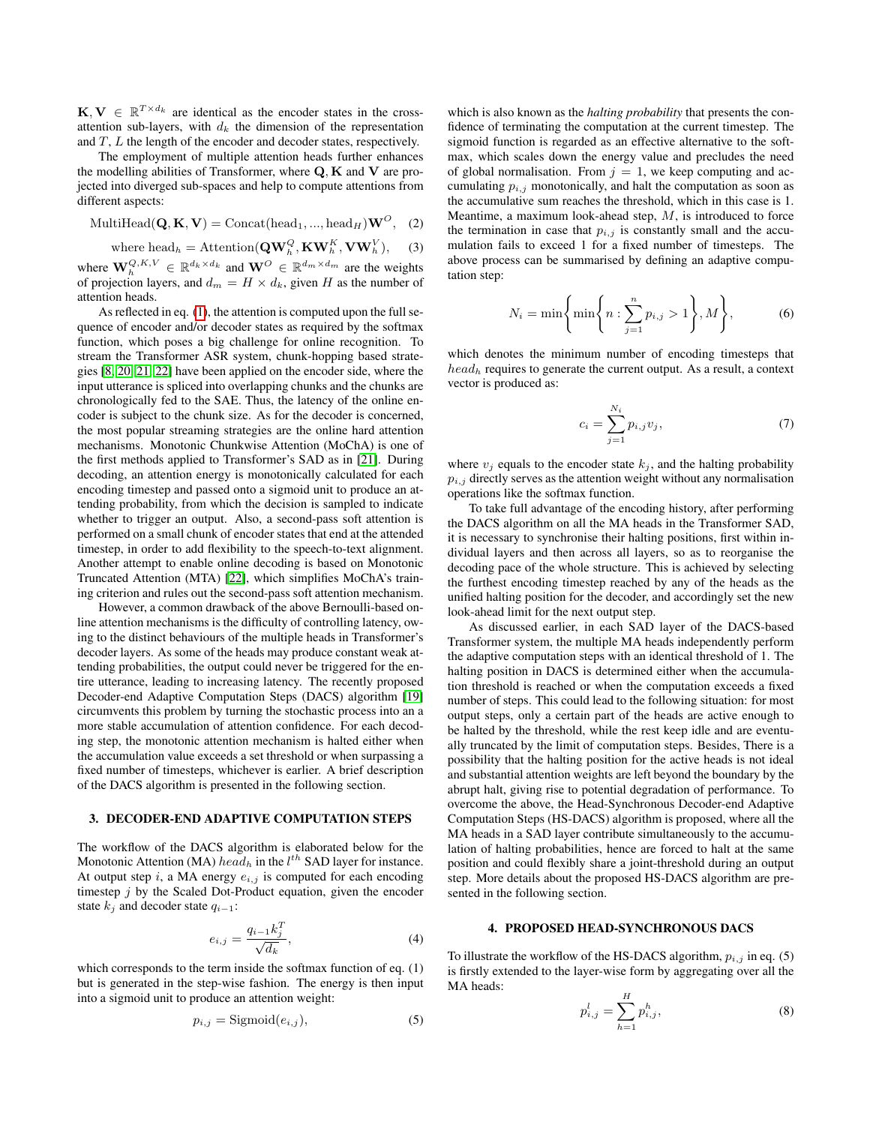$\mathbf{K}, \mathbf{V} \in \mathbb{R}^{T \times d_k}$  are identical as the encoder states in the crossattention sub-layers, with  $d_k$  the dimension of the representation and T, L the length of the encoder and decoder states, respectively.

The employment of multiple attention heads further enhances the modelling abilities of Transformer, where  $Q$ ,  $K$  and  $V$  are projected into diverged sub-spaces and help to compute attentions from different aspects:

$$
\text{MultiHead}(\mathbf{Q}, \mathbf{K}, \mathbf{V}) = \text{Concat}(\text{head}_1, ..., \text{head}_H)\mathbf{W}^O, \quad (2)
$$

where head<sub>h</sub> = Attention(
$$
\mathbf{Q}\mathbf{W}_h^Q
$$
,  $\mathbf{K}\mathbf{W}_h^K$ ,  $\mathbf{V}\mathbf{W}_h^V$ ), (3)

where  $\mathbf{W}_h^{Q,K,V} \in \mathbb{R}^{d_k \times d_k}$  and  $\mathbf{W}^O \in \mathbb{R}^{d_m \times d_m}$  are the weights of projection layers, and  $d_m = H \times d_k$ , given H as the number of attention heads.

As reflected in eq. [\(1\)](#page-0-0), the attention is computed upon the full sequence of encoder and/or decoder states as required by the softmax function, which poses a big challenge for online recognition. To stream the Transformer ASR system, chunk-hopping based strategies [\[8,](#page-4-7) [20,](#page-4-19) [21,](#page-4-20) [22\]](#page-4-21) have been applied on the encoder side, where the input utterance is spliced into overlapping chunks and the chunks are chronologically fed to the SAE. Thus, the latency of the online encoder is subject to the chunk size. As for the decoder is concerned, the most popular streaming strategies are the online hard attention mechanisms. Monotonic Chunkwise Attention (MoChA) is one of the first methods applied to Transformer's SAD as in [\[21\]](#page-4-20). During decoding, an attention energy is monotonically calculated for each encoding timestep and passed onto a sigmoid unit to produce an attending probability, from which the decision is sampled to indicate whether to trigger an output. Also, a second-pass soft attention is performed on a small chunk of encoder states that end at the attended timestep, in order to add flexibility to the speech-to-text alignment. Another attempt to enable online decoding is based on Monotonic Truncated Attention (MTA) [\[22\]](#page-4-21), which simplifies MoChA's training criterion and rules out the second-pass soft attention mechanism.

However, a common drawback of the above Bernoulli-based online attention mechanisms is the difficulty of controlling latency, owing to the distinct behaviours of the multiple heads in Transformer's decoder layers. As some of the heads may produce constant weak attending probabilities, the output could never be triggered for the entire utterance, leading to increasing latency. The recently proposed Decoder-end Adaptive Computation Steps (DACS) algorithm [\[19\]](#page-4-18) circumvents this problem by turning the stochastic process into an a more stable accumulation of attention confidence. For each decoding step, the monotonic attention mechanism is halted either when the accumulation value exceeds a set threshold or when surpassing a fixed number of timesteps, whichever is earlier. A brief description of the DACS algorithm is presented in the following section.

### 3. DECODER-END ADAPTIVE COMPUTATION STEPS

The workflow of the DACS algorithm is elaborated below for the Monotonic Attention (MA)  $head_h$  in the  $l^{th}$  SAD layer for instance. At output step  $i$ , a MA energy  $e_{i,j}$  is computed for each encoding timestep  $j$  by the Scaled Dot-Product equation, given the encoder state  $k_j$  and decoder state  $q_{i-1}$ :

$$
e_{i,j} = \frac{q_{i-1}k_j^T}{\sqrt{d_k}},\tag{4}
$$

which corresponds to the term inside the softmax function of eq. (1) but is generated in the step-wise fashion. The energy is then input into a sigmoid unit to produce an attention weight:

$$
p_{i,j} = \text{Sigmoid}(e_{i,j}),\tag{5}
$$

which is also known as the *halting probability* that presents the confidence of terminating the computation at the current timestep. The sigmoid function is regarded as an effective alternative to the softmax, which scales down the energy value and precludes the need of global normalisation. From  $j = 1$ , we keep computing and accumulating  $p_{i,j}$  monotonically, and halt the computation as soon as the accumulative sum reaches the threshold, which in this case is 1. Meantime, a maximum look-ahead step,  $M$ , is introduced to force the termination in case that  $p_{i,j}$  is constantly small and the accumulation fails to exceed 1 for a fixed number of timesteps. The above process can be summarised by defining an adaptive computation step:

$$
N_i = \min\left\{\min\left\{n : \sum_{j=1}^n p_{i,j} > 1\right\}, M\right\},\tag{6}
$$

which denotes the minimum number of encoding timesteps that  $head_h$  requires to generate the current output. As a result, a context vector is produced as:

$$
c_i = \sum_{j=1}^{N_i} p_{i,j} v_j,
$$
 (7)

where  $v_i$  equals to the encoder state  $k_i$ , and the halting probability  $p_{i,j}$  directly serves as the attention weight without any normalisation operations like the softmax function.

To take full advantage of the encoding history, after performing the DACS algorithm on all the MA heads in the Transformer SAD, it is necessary to synchronise their halting positions, first within individual layers and then across all layers, so as to reorganise the decoding pace of the whole structure. This is achieved by selecting the furthest encoding timestep reached by any of the heads as the unified halting position for the decoder, and accordingly set the new look-ahead limit for the next output step.

As discussed earlier, in each SAD layer of the DACS-based Transformer system, the multiple MA heads independently perform the adaptive computation steps with an identical threshold of 1. The halting position in DACS is determined either when the accumulation threshold is reached or when the computation exceeds a fixed number of steps. This could lead to the following situation: for most output steps, only a certain part of the heads are active enough to be halted by the threshold, while the rest keep idle and are eventually truncated by the limit of computation steps. Besides, There is a possibility that the halting position for the active heads is not ideal and substantial attention weights are left beyond the boundary by the abrupt halt, giving rise to potential degradation of performance. To overcome the above, the Head-Synchronous Decoder-end Adaptive Computation Steps (HS-DACS) algorithm is proposed, where all the MA heads in a SAD layer contribute simultaneously to the accumulation of halting probabilities, hence are forced to halt at the same position and could flexibly share a joint-threshold during an output step. More details about the proposed HS-DACS algorithm are presented in the following section.

## 4. PROPOSED HEAD-SYNCHRONOUS DACS

To illustrate the workflow of the HS-DACS algorithm,  $p_{i,j}$  in eq. (5) is firstly extended to the layer-wise form by aggregating over all the MA heads:

$$
p_{i,j}^l = \sum_{h=1}^H p_{i,j}^h,
$$
\n(8)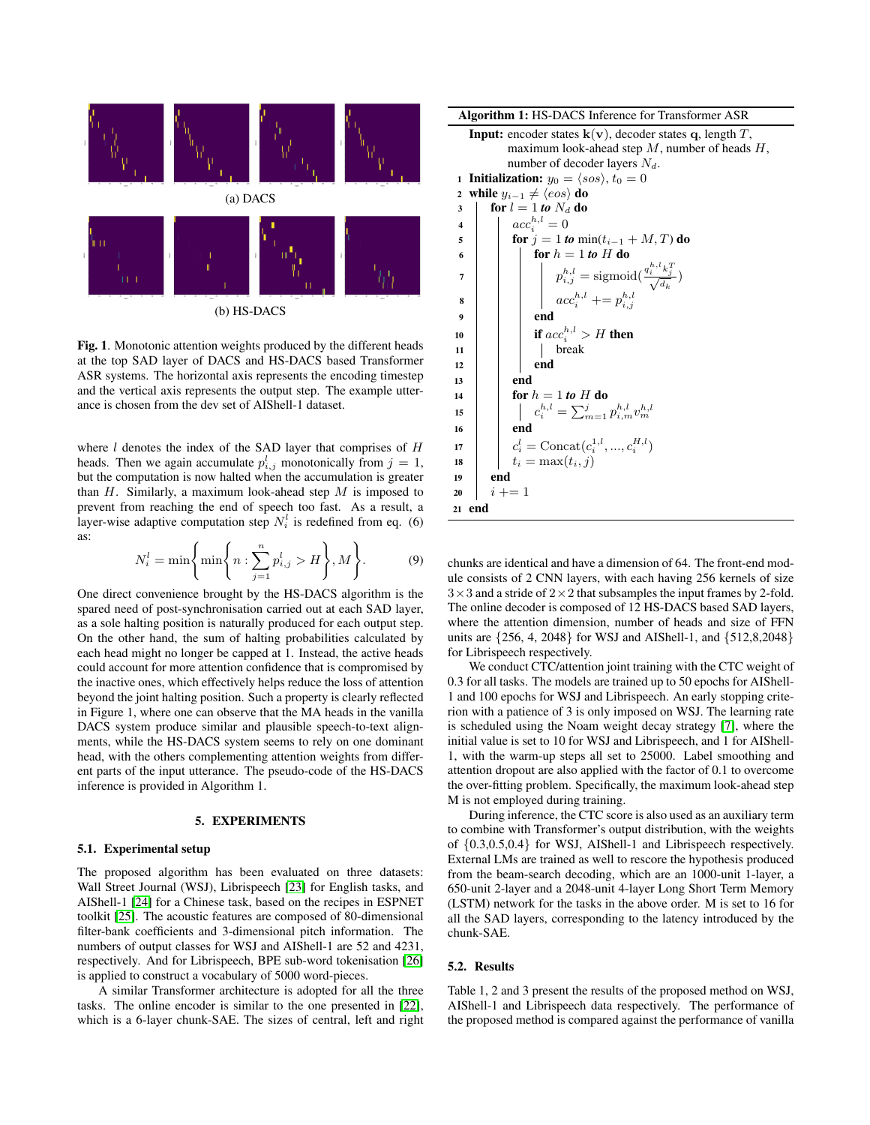

Fig. 1. Monotonic attention weights produced by the different heads at the top SAD layer of DACS and HS-DACS based Transformer ASR systems. The horizontal axis represents the encoding timestep and the vertical axis represents the output step. The example utterance is chosen from the dev set of AIShell-1 dataset.

where  $l$  denotes the index of the SAD layer that comprises of  $H$ heads. Then we again accumulate  $p_{i,j}^l$  monotonically from  $j = 1$ , but the computation is now halted when the accumulation is greater than  $H$ . Similarly, a maximum look-ahead step  $M$  is imposed to prevent from reaching the end of speech too fast. As a result, a layer-wise adaptive computation step  $N_i^l$  is redefined from eq. (6) as:

$$
N_i^l = \min\left\{\min\left\{n : \sum_{j=1}^n p_{i,j}^l > H\right\}, M\right\}.
$$
 (9)

One direct convenience brought by the HS-DACS algorithm is the spared need of post-synchronisation carried out at each SAD layer, as a sole halting position is naturally produced for each output step. On the other hand, the sum of halting probabilities calculated by each head might no longer be capped at 1. Instead, the active heads could account for more attention confidence that is compromised by the inactive ones, which effectively helps reduce the loss of attention beyond the joint halting position. Such a property is clearly reflected in Figure 1, where one can observe that the MA heads in the vanilla DACS system produce similar and plausible speech-to-text alignments, while the HS-DACS system seems to rely on one dominant head, with the others complementing attention weights from different parts of the input utterance. The pseudo-code of the HS-DACS inference is provided in Algorithm 1.

#### 5. EXPERIMENTS

### 5.1. Experimental setup

The proposed algorithm has been evaluated on three datasets: Wall Street Journal (WSJ), Librispeech [\[23\]](#page-4-22) for English tasks, and AIShell-1 [\[24\]](#page-4-23) for a Chinese task, based on the recipes in ESPNET toolkit [\[25\]](#page-4-24). The acoustic features are composed of 80-dimensional filter-bank coefficients and 3-dimensional pitch information. The numbers of output classes for WSJ and AIShell-1 are 52 and 4231, respectively. And for Librispeech, BPE sub-word tokenisation [\[26\]](#page-4-25) is applied to construct a vocabulary of 5000 word-pieces.

A similar Transformer architecture is adopted for all the three tasks. The online encoder is similar to the one presented in [\[22\]](#page-4-21), which is a 6-layer chunk-SAE. The sizes of central, left and right

Algorithm 1: HS-DACS Inference for Transformer ASR

| <b>Input:</b> encoder states $\mathbf{k}(\mathbf{v})$ , decoder states q, length T,                               |  |
|-------------------------------------------------------------------------------------------------------------------|--|
| maximum look-ahead step $M$ , number of heads $H$ ,                                                               |  |
| number of decoder layers $N_d$ .                                                                                  |  |
| <b>1</b> Initialization: $y_0 = \langle sos \rangle, t_0 = 0$                                                     |  |
| while $y_{i-1} \neq \langle eos \rangle$ do<br>$\boldsymbol{2}$                                                   |  |
| for $l = 1$ to $N_d$ do<br>3                                                                                      |  |
| $acc_i^{h,l} = 0$<br>$\overline{\mathbf{4}}$                                                                      |  |
| <b>for</b> $j = 1$ to $min(t_{i-1} + M, T)$ do<br>5                                                               |  |
| for $h = 1$ to H do<br>6                                                                                          |  |
| $p_{i,j}^{h,l} = \text{sigmoid}(\frac{q_i^{h,l}k_j^T}{\sqrt{d_k}}) \ acc_i^{h,l} \mathrel{+}= p_{i,j}^{h,l}$<br>7 |  |
| 8                                                                                                                 |  |
| end<br>9                                                                                                          |  |
| if $acc_i^{h,l} > H$ then<br>10                                                                                   |  |
| break<br>11                                                                                                       |  |
| end<br>12                                                                                                         |  |
| end<br>13                                                                                                         |  |
| for $h = 1$ to H do<br>14                                                                                         |  |
| $c_i^{h,l} = \sum_{m=1}^j p_{i,m}^{h,l} v_m^{h,l}$<br>15                                                          |  |
| end<br>16                                                                                                         |  |
| $c_i^l = \text{Concat}(c_i^{1,l}, , c_i^{H,l})$<br>17                                                             |  |
| $t_i = \max(t_i, j)$<br>18                                                                                        |  |
| end<br>19                                                                                                         |  |
| $i + = 1$<br>20                                                                                                   |  |
| 21 end                                                                                                            |  |

chunks are identical and have a dimension of 64. The front-end module consists of 2 CNN layers, with each having 256 kernels of size  $3 \times 3$  and a stride of  $2 \times 2$  that subsamples the input frames by 2-fold. The online decoder is composed of 12 HS-DACS based SAD layers, where the attention dimension, number of heads and size of FFN units are {256, 4, 2048} for WSJ and AIShell-1, and {512,8,2048} for Librispeech respectively.

We conduct CTC/attention joint training with the CTC weight of 0.3 for all tasks. The models are trained up to 50 epochs for AIShell-1 and 100 epochs for WSJ and Librispeech. An early stopping criterion with a patience of 3 is only imposed on WSJ. The learning rate is scheduled using the Noam weight decay strategy [\[7\]](#page-4-6), where the initial value is set to 10 for WSJ and Librispeech, and 1 for AIShell-1, with the warm-up steps all set to 25000. Label smoothing and attention dropout are also applied with the factor of 0.1 to overcome the over-fitting problem. Specifically, the maximum look-ahead step M is not employed during training.

During inference, the CTC score is also used as an auxiliary term to combine with Transformer's output distribution, with the weights of {0.3,0.5,0.4} for WSJ, AIShell-1 and Librispeech respectively. External LMs are trained as well to rescore the hypothesis produced from the beam-search decoding, which are an 1000-unit 1-layer, a 650-unit 2-layer and a 2048-unit 4-layer Long Short Term Memory (LSTM) network for the tasks in the above order. M is set to 16 for all the SAD layers, corresponding to the latency introduced by the chunk-SAE.

# 5.2. Results

Table 1, 2 and 3 present the results of the proposed method on WSJ, AIShell-1 and Librispeech data respectively. The performance of the proposed method is compared against the performance of vanilla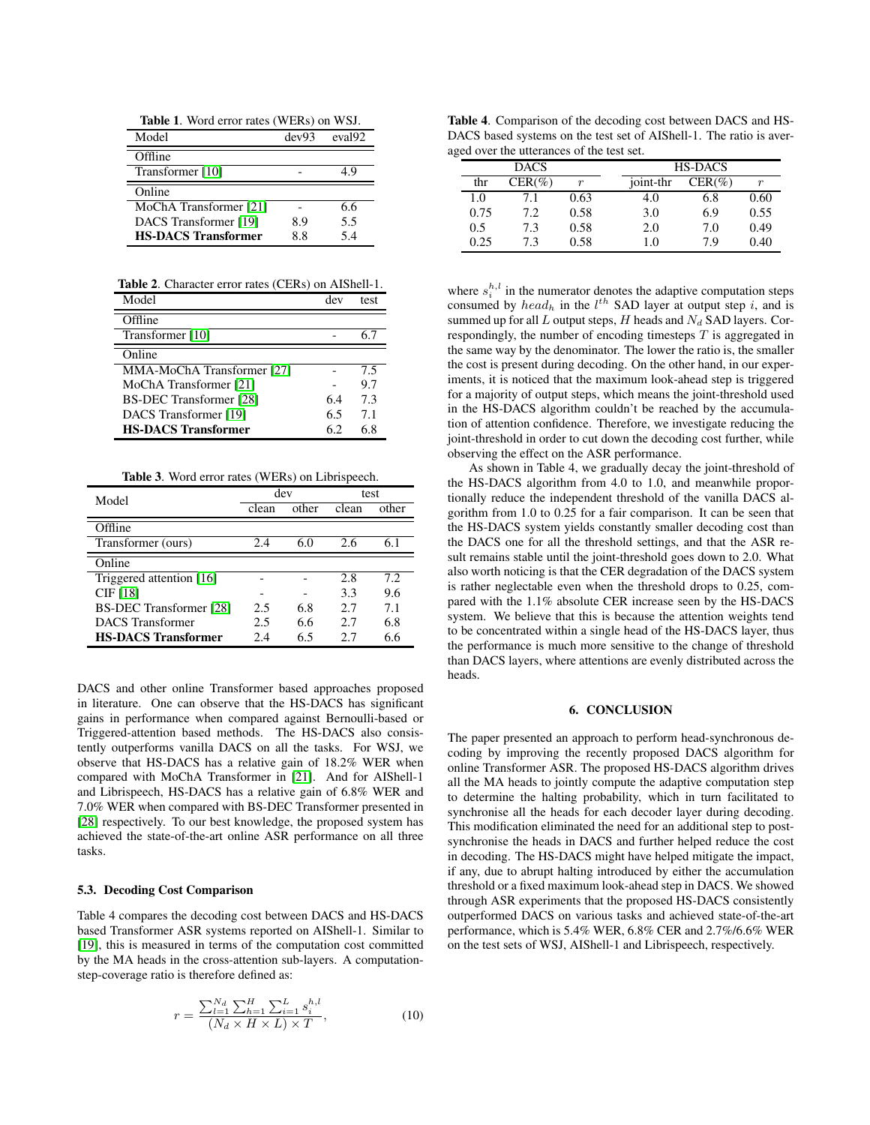Table 1. Word error rates (WERs) on WSJ. Model dev93 eval92 **Offline**  $Transformer [10]$  $Transformer [10]$   $- 4.9$ **Online** MoChA Transformer [\[21\]](#page-4-20) - 6.6 DACS Transformer [\[19\]](#page-4-18) 8.9 5.5 HS-DACS Transformer 8.8 5.4

Table 2. Character error rates (CERs) on AIShell-1.

| Model                      | dev | test |
|----------------------------|-----|------|
| Offline                    |     |      |
| Transformer [10]           |     |      |
| Online                     |     |      |
| MMA-MoChA Transformer [27] |     | 7.5  |
| MoChA Transformer [21]     |     | 9.7  |
| BS-DEC Transformer [28]    | 6.4 | 7.3  |
| DACS Transformer [19]      | 6.5 | 7.1  |
| <b>HS-DACS Transformer</b> | 6.2 | 68   |

Table 3. Word error rates (WERs) on Librispeech.

| Model                          | dev   |       | test  |       |
|--------------------------------|-------|-------|-------|-------|
|                                | clean | other | clean | other |
| Offline                        |       |       |       |       |
| Transformer (ours)             | 2.4   | 6.0   | 2.6   | 6.1   |
| Online                         |       |       |       |       |
| Triggered attention [16]       |       |       | 2.8   | 7.2   |
| CIF [18]                       |       |       | 3.3   | 9.6   |
| <b>BS-DEC Transformer</b> [28] | 2.5   | 6.8   | 2.7   | 7.1   |
| <b>DACS</b> Transformer        | 2.5   | 6.6   | 2.7   | 6.8   |
| <b>HS-DACS Transformer</b>     | 2.4   | 6.5   | 27    | 6.6   |

DACS and other online Transformer based approaches proposed in literature. One can observe that the HS-DACS has significant gains in performance when compared against Bernoulli-based or Triggered-attention based methods. The HS-DACS also consistently outperforms vanilla DACS on all the tasks. For WSJ, we observe that HS-DACS has a relative gain of 18.2% WER when compared with MoChA Transformer in [\[21\]](#page-4-20). And for AIShell-1 and Librispeech, HS-DACS has a relative gain of 6.8% WER and 7.0% WER when compared with BS-DEC Transformer presented in [\[28\]](#page-4-27) respectively. To our best knowledge, the proposed system has achieved the state-of-the-art online ASR performance on all three tasks.

### 5.3. Decoding Cost Comparison

Table 4 compares the decoding cost between DACS and HS-DACS based Transformer ASR systems reported on AIShell-1. Similar to [\[19\]](#page-4-18), this is measured in terms of the computation cost committed by the MA heads in the cross-attention sub-layers. A computationstep-coverage ratio is therefore defined as:

$$
r = \frac{\sum_{l=1}^{N_d} \sum_{h=1}^{H} \sum_{i=1}^{L} s_i^{h,l}}{(N_d \times H \times L) \times T},
$$
\n(10)

Table 4. Comparison of the decoding cost between DACS and HS-DACS based systems on the test set of AIShell-1. The ratio is averaged over the utterances of the test set.

|      | <b>DACS</b> |                  |           | <b>HS-DACS</b> |      |  |
|------|-------------|------------------|-----------|----------------|------|--|
| thr  | $CER(\%)$   | $\boldsymbol{r}$ | joint-thr | $CER(\%)$      | r    |  |
| 1.0  | 7.1         | 0.63             | 4.0       | 6.8            | 0.60 |  |
| 0.75 | 7.2         | 0.58             | 3.0       | 6.9            | 0.55 |  |
| 0.5  | 7.3         | 0.58             | 2.0       | 7.0            | 0.49 |  |
| 0.25 | 7.3         | 0.58             | 1.0       | 7 Q            | 0.40 |  |

where  $s_i^{h,l}$  in the numerator denotes the adaptive computation steps consumed by  $head_h$  in the  $l^{th}$  SAD layer at output step i, and is summed up for all  $L$  output steps,  $H$  heads and  $N_d$  SAD layers. Correspondingly, the number of encoding timesteps  $T$  is aggregated in the same way by the denominator. The lower the ratio is, the smaller the cost is present during decoding. On the other hand, in our experiments, it is noticed that the maximum look-ahead step is triggered for a majority of output steps, which means the joint-threshold used in the HS-DACS algorithm couldn't be reached by the accumulation of attention confidence. Therefore, we investigate reducing the joint-threshold in order to cut down the decoding cost further, while observing the effect on the ASR performance.

As shown in Table 4, we gradually decay the joint-threshold of the HS-DACS algorithm from 4.0 to 1.0, and meanwhile proportionally reduce the independent threshold of the vanilla DACS algorithm from 1.0 to 0.25 for a fair comparison. It can be seen that the HS-DACS system yields constantly smaller decoding cost than the DACS one for all the threshold settings, and that the ASR result remains stable until the joint-threshold goes down to 2.0. What also worth noticing is that the CER degradation of the DACS system is rather neglectable even when the threshold drops to 0.25, compared with the 1.1% absolute CER increase seen by the HS-DACS system. We believe that this is because the attention weights tend to be concentrated within a single head of the HS-DACS layer, thus the performance is much more sensitive to the change of threshold than DACS layers, where attentions are evenly distributed across the heads.

# 6. CONCLUSION

The paper presented an approach to perform head-synchronous decoding by improving the recently proposed DACS algorithm for online Transformer ASR. The proposed HS-DACS algorithm drives all the MA heads to jointly compute the adaptive computation step to determine the halting probability, which in turn facilitated to synchronise all the heads for each decoder layer during decoding. This modification eliminated the need for an additional step to postsynchronise the heads in DACS and further helped reduce the cost in decoding. The HS-DACS might have helped mitigate the impact, if any, due to abrupt halting introduced by either the accumulation threshold or a fixed maximum look-ahead step in DACS. We showed through ASR experiments that the proposed HS-DACS consistently outperformed DACS on various tasks and achieved state-of-the-art performance, which is 5.4% WER, 6.8% CER and 2.7%/6.6% WER on the test sets of WSJ, AIShell-1 and Librispeech, respectively.